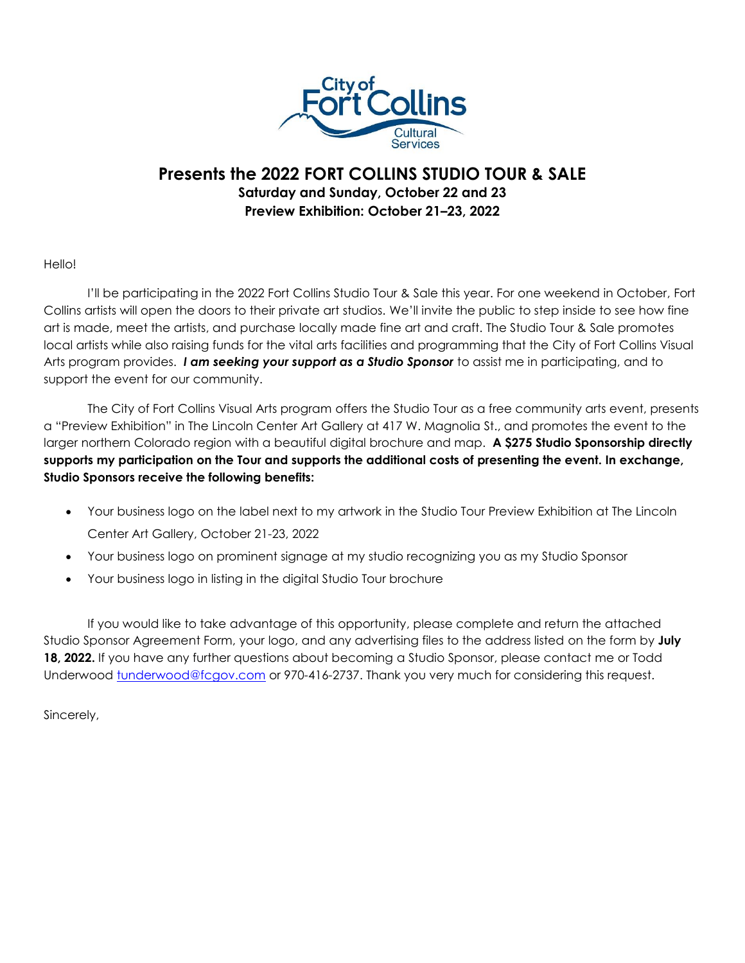

## **Presents the 2022 FORT COLLINS STUDIO TOUR & SALE Saturday and Sunday, October 22 and 23 Preview Exhibition: October 21–23, 2022**

## Hello!

I'll be participating in the 2022 Fort Collins Studio Tour & Sale this year. For one weekend in October, Fort Collins artists will open the doors to their private art studios. We'll invite the public to step inside to see how fine art is made, meet the artists, and purchase locally made fine art and craft. The Studio Tour & Sale promotes local artists while also raising funds for the vital arts facilities and programming that the City of Fort Collins Visual Arts program provides. *I am seeking your support as a Studio Sponsor* to assist me in participating, and to support the event for our community.

The City of Fort Collins Visual Arts program offers the Studio Tour as a free community arts event, presents a "Preview Exhibition" in The Lincoln Center Art Gallery at 417 W. Magnolia St., and promotes the event to the larger northern Colorado region with a beautiful digital brochure and map. **A \$275 Studio Sponsorship directly supports my participation on the Tour and supports the additional costs of presenting the event. In exchange, Studio Sponsors receive the following benefits:**

- Your business logo on the label next to my artwork in the Studio Tour Preview Exhibition at The Lincoln Center Art Gallery, October 21-23, 2022
- Your business logo on prominent signage at my studio recognizing you as my Studio Sponsor
- Your business logo in listing in the digital Studio Tour brochure

If you would like to take advantage of this opportunity, please complete and return the attached Studio Sponsor Agreement Form, your logo, and any advertising files to the address listed on the form by **July 18, 2022.** If you have any further questions about becoming a Studio Sponsor, please contact me or Todd Underwood [tunderwood@fcgov.com](mailto:tunderwood@fcgov.com) or 970-416-2737. Thank you very much for considering this request.

Sincerely,